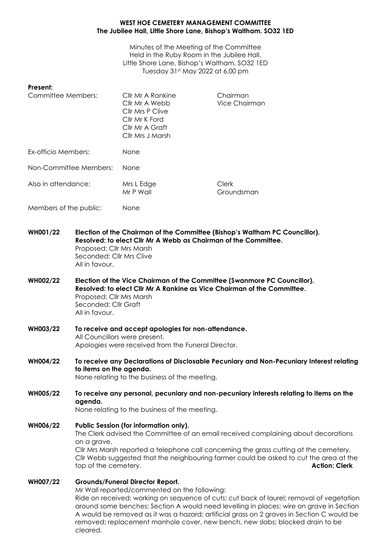## **WEST HOE CEMETERY MANAGEMENT COMMITTEE The Jubilee Hall, Little Shore Lane, Bishop's Waltham. SO32 1ED**

Minutes of the Meeting of the Committee Held in the Ruby Room in the Jubilee Hall, Little Shore Lane, Bishop's Waltham, SO32 1ED Tuesday 31st May 2022 at 6.00 pm

## **Present:**

| Committee Members:     | Cllr Mr A Rankine<br>Cllr Mr A Webb<br>Cllr Mrs P Clive<br>Cllr Mr K Ford<br>Cllr Mr A Graft<br>Cllr Mrs J Marsh | Chairman<br>Vice Chairman |
|------------------------|------------------------------------------------------------------------------------------------------------------|---------------------------|
| Ex-officio Members:    | None                                                                                                             |                           |
| Non-Committee Members: | <b>None</b>                                                                                                      |                           |
| Also in attendance:    | Mrs L Edge<br>Mr P Wall                                                                                          | Clerk<br>Groundsman       |
| Members of the public: | None                                                                                                             |                           |

**WH001/22 Election of the Chairman of the Committee (Bishop's Waltham PC Councillor). Resolved: to elect Cllr Mr A Webb as Chairman of the Committee.** Proposed: Cllr Mrs Marsh Seconded: Cllr Mrs Clive All in favour.

**WH002/22 Election of the Vice Chairman of the Committee (Swanmore PC Councillor). Resolved: to elect Cllr Mr A Rankine as Vice Chairman of the Committee.** Proposed: Cllr Mrs Marsh Seconded: Cllr Graft All in favour.

- **WH003/22 To receive and accept apologies for non-attendance.**  All Councillors were present. Apologies were received from the Funeral Director.
- **WH004/22 To receive any Declarations of Disclosable Pecuniary and Non-Pecuniary Interest relating to items on the agenda.** None relating to the business of the meeting.
- **WH005/22 To receive any personal, pecuniary and non-pecuniary interests relating to items on the agenda.** None relating to the business of the meeting.

**WH006/22 Public Session (for information only).** The Clerk advised the Committee of an email received complaining about decorations on a grave. Cllr Mrs Marsh reported a telephone call concerning the grass cutting at the cemetery. Cllr Webb suggested that the neighbouring farmer could be asked to cut the area at the top of the cemetery. **Action: Clerk**

**WH007/22 Grounds/Funeral Director Report.** Mr Wall reported/commented on the following: Ride on received; working on sequence of cuts; cut back of laurel; removal of vegetation around some benches; Section A would need levelling in places; wire on grave in Section A would be removed as it was a hazard; artificial grass on 2 graves in Section C would be removed; replacement manhole cover, new bench, new slabs; blocked drain to be cleared.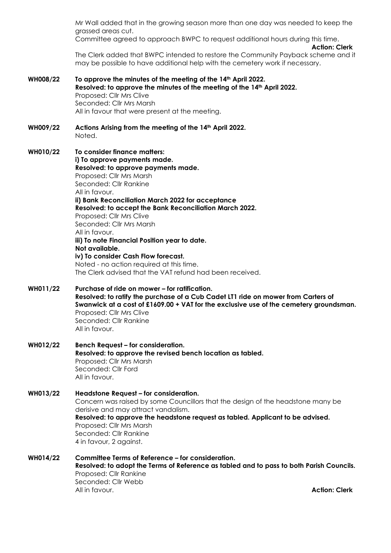Mr Wall added that in the growing season more than one day was needed to keep the grassed areas cut. Committee agreed to approach BWPC to request additional hours during this time. **Action: Clerk** The Clerk added that BWPC intended to restore the Community Payback scheme and it may be possible to have additional help with the cemetery work if necessary. **WH008/22 To approve the minutes of the meeting of the 14th April 2022. Resolved: to approve the minutes of the meeting of the 14th April 2022.** Proposed: Cllr Mrs Clive Seconded: Cllr Mrs Marsh All in favour that were present at the meeting. **WH009/22 Actions Arising from the meeting of the 14th April 2022.** Noted. **WH010/22 To consider finance matters: i) To approve payments made. Resolved: to approve payments made.** Proposed: Cllr Mrs Marsh Seconded: Cllr Rankine All in favour. **ii) Bank Reconciliation March 2022 for acceptance Resolved: to accept the Bank Reconciliation March 2022.** Proposed: Cllr Mrs Clive Seconded: Cllr Mrs Marsh All in favour. **iii) To note Financial Position year to date. Not available. iv) To consider Cash Flow forecast.** Noted - no action required at this time. The Clerk advised that the VAT refund had been received. **WH011/22 Purchase of ride on mower – for ratification. Resolved: to ratify the purchase of a Cub Cadet LT1 ride on mower from Carters of Swanwick at a cost of £1609.00 + VAT for the exclusive use of the cemetery groundsman.** Proposed: Cllr Mrs Clive Seconded: Cllr Rankine All in favour. **WH012/22 Bench Request – for consideration. Resolved: to approve the revised bench location as tabled.** Proposed: Cllr Mrs Marsh Seconded: Cllr Ford All in favour. **WH013/22 Headstone Request – for consideration.** Concern was raised by some Councillors that the design of the headstone many be derisive and may attract vandalism. **Resolved: to approve the headstone request as tabled. Applicant to be advised.** Proposed: Cllr Mrs Marsh Seconded: Cllr Rankine 4 in favour, 2 against. **WH014/22 Committee Terms of Reference – for consideration. Resolved: to adopt the Terms of Reference as tabled and to pass to both Parish Councils.** Proposed: Cllr Rankine Seconded: Cllr Webb All in favour. **Action: Clerk**